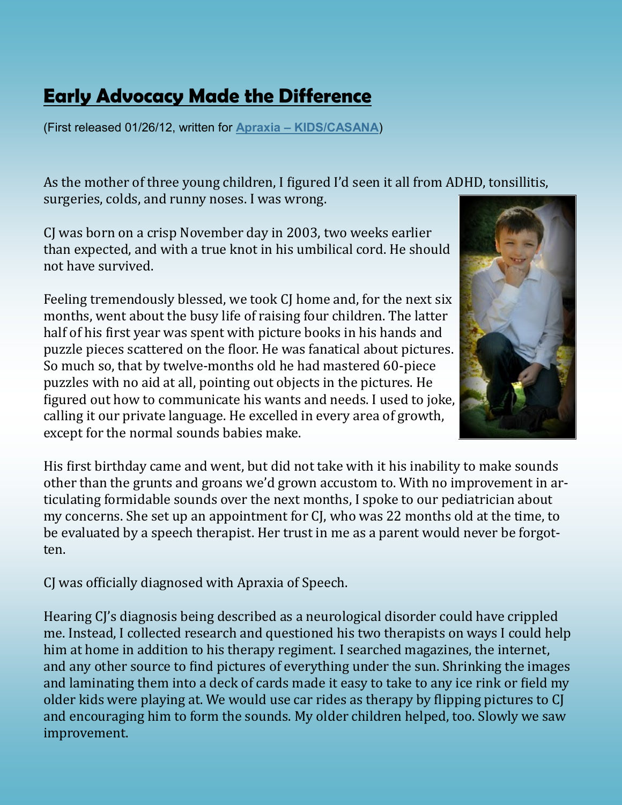## **[Early Advocacy Made the Difference](http://apraxia-kids.blogspot.com/2012/01/early-advocacy-made-difference.html)**

(First released 01/26/12, written for **Apraxia – [KIDS/CASANA](http://apraxia-kids.blogspot.com/2012/01/early-advocacy-made-difference.html)**)

As the mother of three young children, I figured I'd seen it all from ADHD, tonsillitis, surgeries, colds, and runny noses. I was wrong.

CJ was born on a crisp November day in 2003, two weeks earlier than expected, and with a true knot in his umbilical cord. He should not have survived.

Feeling tremendously blessed, we took CJ home and, for the next six months, went about the busy life of raising four children. The latter half of his first year was spent with picture books in his hands and puzzle pieces scattered on the floor. He was fanatical about pictures. So much so, that by twelve-months old he had mastered 60-piece puzzles with no aid at all, pointing out objects in the pictures. He figured out how to communicate his wants and needs. I used to joke, calling it our private language. He excelled in every area of growth, except for the normal sounds babies make.



His first birthday came and went, but did not take with it his inability to make sounds other than the grunts and groans we'd grown accustom to. With no improvement in articulating formidable sounds over the next months, I spoke to our pediatrician about my concerns. She set up an appointment for CJ, who was 22 months old at the time, to be evaluated by a speech therapist. Her trust in me as a parent would never be forgotten.

CJ was officially diagnosed with Apraxia of Speech.

Hearing CJ's diagnosis being described as a neurological disorder could have crippled me. Instead, I collected research and questioned his two therapists on ways I could help him at home in addition to his therapy regiment. I searched magazines, the internet, and any other source to find pictures of everything under the sun. Shrinking the images and laminating them into a deck of cards made it easy to take to any ice rink or field my older kids were playing at. We would use car rides as therapy by flipping pictures to CJ and encouraging him to form the sounds. My older children helped, too. Slowly we saw improvement.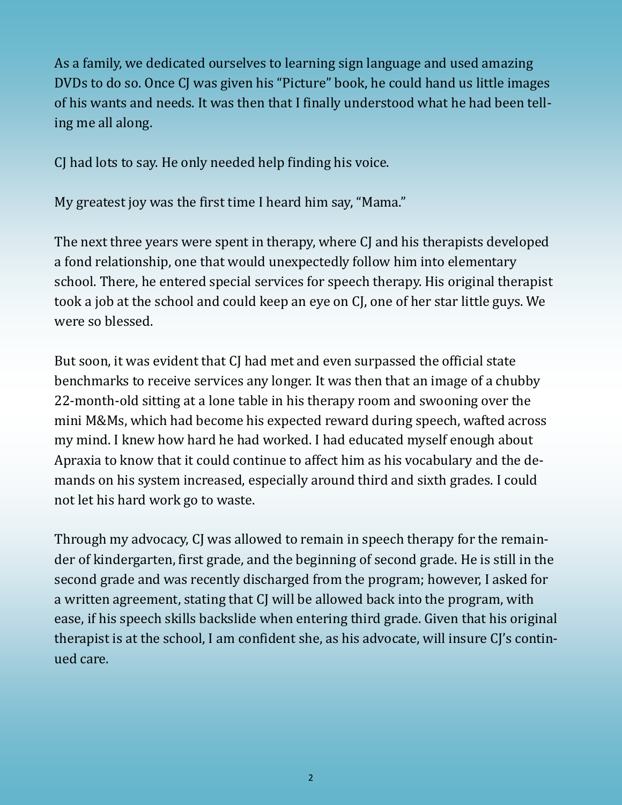As a family, we dedicated ourselves to learning sign language and used amazing DVDs to do so. Once CJ was given his "Picture" book, he could hand us little images of his wants and needs. It was then that I finally understood what he had been telling me all along.

CJ had lots to say. He only needed help finding his voice.

My greatest joy was the first time I heard him say, "Mama."

The next three years were spent in therapy, where CJ and his therapists developed a fond relationship, one that would unexpectedly follow him into elementary school. There, he entered special services for speech therapy. His original therapist took a job at the school and could keep an eye on CJ, one of her star little guys. We were so blessed.

But soon, it was evident that CJ had met and even surpassed the official state benchmarks to receive services any longer. It was then that an image of a chubby 22-month-old sitting at a lone table in his therapy room and swooning over the mini M&Ms, which had become his expected reward during speech, wafted across my mind. I knew how hard he had worked. I had educated myself enough about Apraxia to know that it could continue to affect him as his vocabulary and the demands on his system increased, especially around third and sixth grades. I could not let his hard work go to waste.

Through my advocacy, CJ was allowed to remain in speech therapy for the remainder of kindergarten, first grade, and the beginning of second grade. He is still in the second grade and was recently discharged from the program; however, I asked for a written agreement, stating that CJ will be allowed back into the program, with ease, if his speech skills backslide when entering third grade. Given that his original therapist is at the school, I am confident she, as his advocate, will insure CJ's continued care.